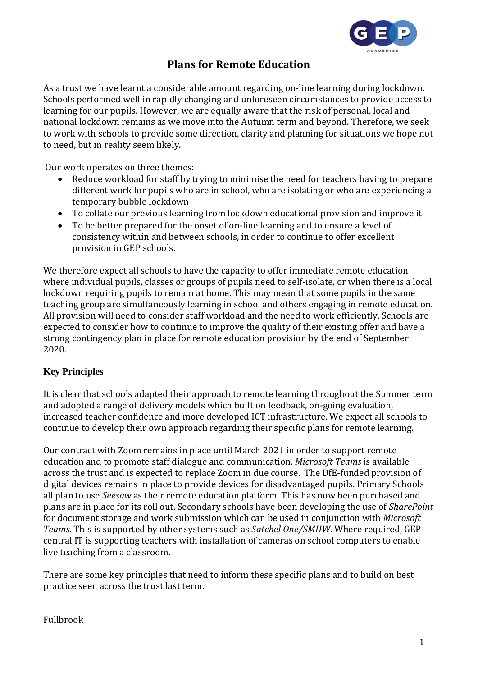

## **Plans for Remote Education**

As a trust we have learnt a considerable amount regarding on-line learning during lockdown. Schools performed well in rapidly changing and unforeseen circumstances to provide access to learning for our pupils. However, we are equally aware that the risk of personal, local and national lockdown remains as we move into the Autumn term and beyond. Therefore, we seek to work with schools to provide some direction, clarity and planning for situations we hope not to need, but in reality seem likely.

Our work operates on three themes:

- Reduce workload for staff by trying to minimise the need for teachers having to prepare different work for pupils who are in school, who are isolating or who are experiencing a temporary bubble lockdown
- To collate our previous learning from lockdown educational provision and improve it
- To be better prepared for the onset of on-line learning and to ensure a level of consistency within and between schools, in order to continue to offer excellent provision in GEP schools.

We therefore expect all schools to have the capacity to offer immediate remote education where individual pupils, classes or groups of pupils need to self-isolate, or when there is a local lockdown requiring pupils to remain at home. This may mean that some pupils in the same teaching group are simultaneously learning in school and others engaging in remote education. All provision will need to consider staff workload and the need to work efficiently. Schools are expected to consider how to continue to improve the quality of their existing offer and have a strong contingency plan in place for remote education provision by the end of September 2020.

### **Key Principles**

It is clear that schools adapted their approach to remote learning throughout the Summer term and adopted a range of delivery models which built on feedback, on-going evaluation, increased teacher confidence and more developed ICT infrastructure. We expect all schools to continue to develop their own approach regarding their specific plans for remote learning.

Our contract with Zoom remains in place until March 2021 in order to support remote education and to promote staff dialogue and communication. *Microsoft Teams* is available across the trust and is expected to replace Zoom in due course. The DfE-funded provision of digital devices remains in place to provide devices for disadvantaged pupils. Primary Schools all plan to use *Seesaw* as their remote education platform. This has now been purchased and plans are in place for its roll out. Secondary schools have been developing the use of *SharePoint* for document storage and work submission which can be used in conjunction with *Microsoft Teams*. This is supported by other systems such as *Satchel One/SMHW*. Where required, GEP central IT is supporting teachers with installation of cameras on school computers to enable live teaching from a classroom.

There are some key principles that need to inform these specific plans and to build on best practice seen across the trust last term.

### Fullbrook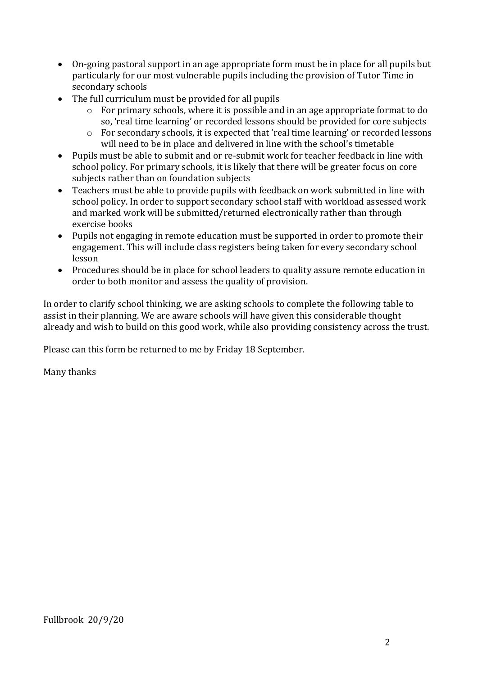- On-going pastoral support in an age appropriate form must be in place for all pupils but particularly for our most vulnerable pupils including the provision of Tutor Time in secondary schools
- The full curriculum must be provided for all pupils
	- o For primary schools, where it is possible and in an age appropriate format to do so, 'real time learning' or recorded lessons should be provided for core subjects
	- o For secondary schools, it is expected that 'real time learning' or recorded lessons will need to be in place and delivered in line with the school's timetable
- Pupils must be able to submit and or re-submit work for teacher feedback in line with school policy. For primary schools, it is likely that there will be greater focus on core subjects rather than on foundation subjects
- Teachers must be able to provide pupils with feedback on work submitted in line with school policy. In order to support secondary school staff with workload assessed work and marked work will be submitted/returned electronically rather than through exercise books
- Pupils not engaging in remote education must be supported in order to promote their engagement. This will include class registers being taken for every secondary school lesson
- Procedures should be in place for school leaders to quality assure remote education in order to both monitor and assess the quality of provision.

In order to clarify school thinking, we are asking schools to complete the following table to assist in their planning. We are aware schools will have given this considerable thought already and wish to build on this good work, while also providing consistency across the trust.

Please can this form be returned to me by Friday 18 September.

Many thanks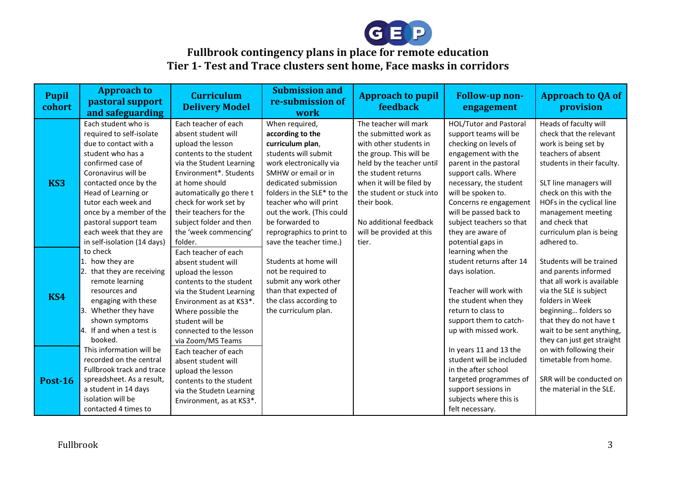

# **Fullbrook contingency plans in place for remote education Tier 1- Test and Trace clusters sent home, Face masks in corridors**

| <b>Pupil</b><br>cohort | <b>Approach to</b><br>pastoral support<br>and safeguarding                                                                                                                                                                                                                                                                     | <b>Curriculum</b><br><b>Delivery Model</b>                                                                                                                                                                                                                                                                        | <b>Submission and</b><br>re-submission of<br>work                                                                                                                                                                                                                                                                        | <b>Approach to pupil</b><br>feedback                                                                                                                                                                                                                                                           | <b>Follow-up non-</b><br>engagement                                                                                                                                                                                                                                                                                         | <b>Approach to QA of</b><br>provision                                                                                                                                                                                                                                                            |
|------------------------|--------------------------------------------------------------------------------------------------------------------------------------------------------------------------------------------------------------------------------------------------------------------------------------------------------------------------------|-------------------------------------------------------------------------------------------------------------------------------------------------------------------------------------------------------------------------------------------------------------------------------------------------------------------|--------------------------------------------------------------------------------------------------------------------------------------------------------------------------------------------------------------------------------------------------------------------------------------------------------------------------|------------------------------------------------------------------------------------------------------------------------------------------------------------------------------------------------------------------------------------------------------------------------------------------------|-----------------------------------------------------------------------------------------------------------------------------------------------------------------------------------------------------------------------------------------------------------------------------------------------------------------------------|--------------------------------------------------------------------------------------------------------------------------------------------------------------------------------------------------------------------------------------------------------------------------------------------------|
| KS3                    | Each student who is<br>required to self-isolate<br>due to contact with a<br>student who has a<br>confirmed case of<br>Coronavirus will be<br>contacted once by the<br>Head of Learning or<br>tutor each week and<br>once by a member of the<br>pastoral support team<br>each week that they are<br>in self-isolation (14 days) | Each teacher of each<br>absent student will<br>upload the lesson<br>contents to the student<br>via the Student Learning<br>Environment*. Students<br>at home should<br>automatically go there t<br>check for work set by<br>their teachers for the<br>subject folder and then<br>the 'week commencing'<br>folder. | When required,<br>according to the<br>curriculum plan,<br>students will submit<br>work electronically via<br>SMHW or email or in<br>dedicated submission<br>folders in the SLE* to the<br>teacher who will print<br>out the work. (This could<br>be forwarded to<br>reprographics to print to<br>save the teacher time.) | The teacher will mark<br>the submitted work as<br>with other students in<br>the group. This will be<br>held by the teacher until<br>the student returns<br>when it will be filed by<br>the student or stuck into<br>their book.<br>No additional feedback<br>will be provided at this<br>tier. | HOL/Tutor and Pastoral<br>support teams will be<br>checking on levels of<br>engagement with the<br>parent in the pastoral<br>support calls. Where<br>necessary, the student<br>will be spoken to.<br>Concerns re engagement<br>will be passed back to<br>subject teachers so that<br>they are aware of<br>potential gaps in | Heads of faculty will<br>check that the relevant<br>work is being set by<br>teachers of absent<br>students in their faculty.<br>SLT line managers will<br>check on this with the<br>HOFs in the cyclical line<br>management meeting<br>and check that<br>curriculum plan is being<br>adhered to. |
| KS4                    | to check<br>1. how they are<br>2. that they are receiving<br>remote learning<br>resources and<br>engaging with these<br>3. Whether they have<br>shown symptoms<br>4. If and when a test is<br>booked.                                                                                                                          | Each teacher of each<br>absent student will<br>upload the lesson<br>contents to the student<br>via the Student Learning<br>Environment as at KS3*.<br>Where possible the<br>student will be<br>connected to the lesson<br>via Zoom/MS Teams                                                                       | Students at home will<br>not be required to<br>submit any work other<br>than that expected of<br>the class according to<br>the curriculum plan.                                                                                                                                                                          |                                                                                                                                                                                                                                                                                                | learning when the<br>student returns after 14<br>days isolation.<br>Teacher will work with<br>the student when they<br>return to class to<br>support them to catch-<br>up with missed work.                                                                                                                                 | Students will be trained<br>and parents informed<br>that all work is available<br>via the SLE is subject<br>folders in Week<br>beginning folders so<br>that they do not have t<br>wait to be sent anything,<br>they can just get straight                                                        |
| <b>Post-16</b>         | This information will be<br>recorded on the central<br>Fullbrook track and trace<br>spreadsheet. As a result,<br>a student in 14 days<br>isolation will be<br>contacted 4 times to                                                                                                                                             | Each teacher of each<br>absent student will<br>upload the lesson<br>contents to the student<br>via the Studetn Learning<br>Environment, as at KS3*.                                                                                                                                                               |                                                                                                                                                                                                                                                                                                                          |                                                                                                                                                                                                                                                                                                | In years 11 and 13 the<br>student will be included<br>in the after school<br>targeted programmes of<br>support sessions in<br>subjects where this is<br>felt necessary.                                                                                                                                                     | on with following their<br>timetable from home.<br>SRR will be conducted on<br>the material in the SLE.                                                                                                                                                                                          |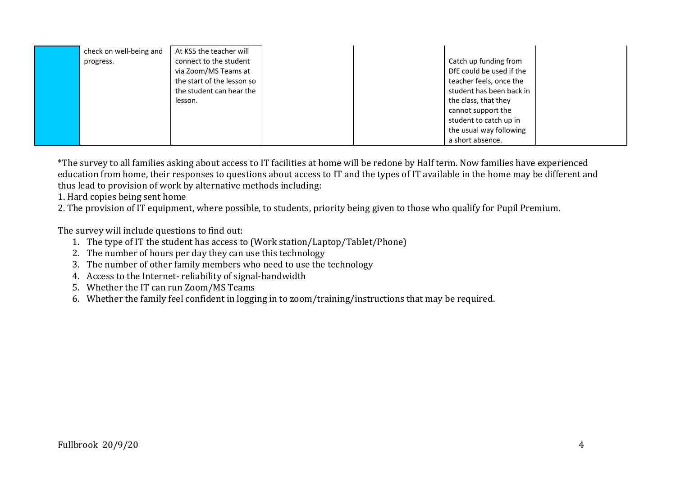| check on well-being and | At KS5 the teacher will    |  |                          |  |
|-------------------------|----------------------------|--|--------------------------|--|
| progress.               | connect to the student     |  | Catch up funding from    |  |
|                         | via Zoom/MS Teams at       |  | DfE could be used if the |  |
|                         | the start of the lesson so |  | teacher feels, once the  |  |
|                         | the student can hear the   |  | student has been back in |  |
|                         | lesson.                    |  | the class, that they     |  |
|                         |                            |  | cannot support the       |  |
|                         |                            |  | student to catch up in   |  |
|                         |                            |  | the usual way following  |  |
|                         |                            |  | a short absence.         |  |

\*The survey to all families asking about access to IT facilities at home will be redone by Half term. Now families have experienced education from home, their responses to questions about access to IT and the types of IT available in the home may be different and thus lead to provision of work by alternative methods including:

1. Hard copies being sent home

2. The provision of IT equipment, where possible, to students, priority being given to those who qualify for Pupil Premium.

The survey will include questions to find out:

- 1. The type of IT the student has access to (Work station/Laptop/Tablet/Phone)
- 2. The number of hours per day they can use this technology
- 3. The number of other family members who need to use the technology
- 4. Access to the Internet- reliability of signal-bandwidth
- 5. Whether the IT can run Zoom/MS Teams
- 6. Whether the family feel confident in logging in to zoom/training/instructions that may be required.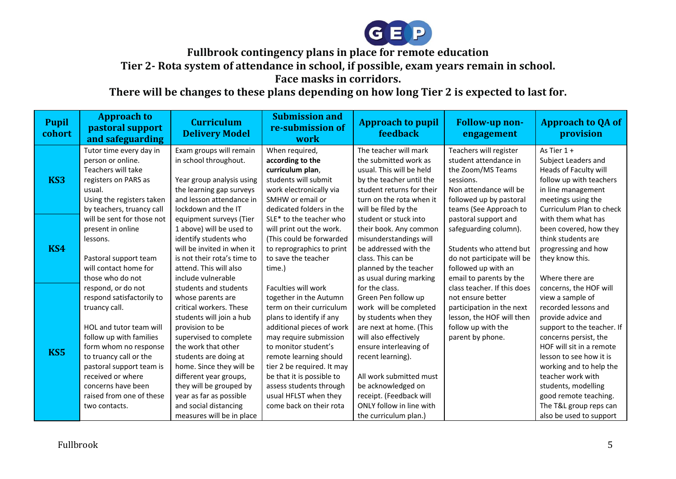

**Fullbrook contingency plans in place for remote education**

**Tier 2- Rota system of attendance in school, if possible, exam years remain in school.** 

**Face masks in corridors.** 

**There will be changes to these plans depending on how long Tier 2 is expected to last for.**

| <b>Pupil</b><br>cohort | <b>Approach to</b><br>pastoral support<br>and safeguarding                                                                                                                                                                                                                                    | <b>Curriculum</b><br><b>Delivery Model</b>                                                                                                                                                                                                                                                                                                                       | <b>Submission and</b><br>re-submission of<br>work                                                                                                                                                                                                                                                                                                        | <b>Approach to pupil</b><br><b>feedback</b>                                                                                                                                                                                                                                                                                  | <b>Follow-up non-</b><br>engagement                                                                                                                              | <b>Approach to QA of</b><br>provision                                                                                                                                                                                                                                                                                                                       |
|------------------------|-----------------------------------------------------------------------------------------------------------------------------------------------------------------------------------------------------------------------------------------------------------------------------------------------|------------------------------------------------------------------------------------------------------------------------------------------------------------------------------------------------------------------------------------------------------------------------------------------------------------------------------------------------------------------|----------------------------------------------------------------------------------------------------------------------------------------------------------------------------------------------------------------------------------------------------------------------------------------------------------------------------------------------------------|------------------------------------------------------------------------------------------------------------------------------------------------------------------------------------------------------------------------------------------------------------------------------------------------------------------------------|------------------------------------------------------------------------------------------------------------------------------------------------------------------|-------------------------------------------------------------------------------------------------------------------------------------------------------------------------------------------------------------------------------------------------------------------------------------------------------------------------------------------------------------|
| KS <sub>3</sub>        | Tutor time every day in<br>person or online.<br>Teachers will take<br>registers on PARS as<br>usual.<br>Using the registers taken<br>by teachers, truancy call                                                                                                                                | Exam groups will remain<br>in school throughout.<br>Year group analysis using<br>the learning gap surveys<br>and lesson attendance in<br>lockdown and the IT                                                                                                                                                                                                     | When required,<br>according to the<br>curriculum plan,<br>students will submit<br>work electronically via<br>SMHW or email or<br>dedicated folders in the                                                                                                                                                                                                | The teacher will mark<br>the submitted work as<br>usual. This will be held<br>by the teacher until the<br>student returns for their<br>turn on the rota when it<br>will be filed by the                                                                                                                                      | Teachers will register<br>student attendance in<br>the Zoom/MS Teams<br>sessions.<br>Non attendance will be<br>followed up by pastoral<br>teams (See Approach to | As Tier 1 +<br>Subject Leaders and<br>Heads of Faculty will<br>follow up with teachers<br>in line management<br>meetings using the<br>Curriculum Plan to check                                                                                                                                                                                              |
| <b>KS4</b>             | will be sent for those not<br>present in online<br>lessons.<br>Pastoral support team<br>will contact home for<br>those who do not                                                                                                                                                             | equipment surveys (Tier<br>1 above) will be used to<br>identify students who<br>will be invited in when it<br>is not their rota's time to<br>attend. This will also<br>include vulnerable                                                                                                                                                                        | SLE* to the teacher who<br>will print out the work.<br>(This could be forwarded<br>to reprographics to print<br>to save the teacher<br>time.)                                                                                                                                                                                                            | student or stuck into<br>their book. Any common<br>misunderstandings will<br>be addressed with the<br>class. This can be<br>planned by the teacher<br>as usual during marking                                                                                                                                                | pastoral support and<br>safeguarding column).<br>Students who attend but<br>do not participate will be<br>followed up with an<br>email to parents by the         | with them what has<br>been covered, how they<br>think students are<br>progressing and how<br>they know this.<br>Where there are                                                                                                                                                                                                                             |
| KS5                    | respond, or do not<br>respond satisfactorily to<br>truancy call.<br>HOL and tutor team will<br>follow up with families<br>form whom no response<br>to truancy call or the<br>pastoral support team is<br>received or where<br>concerns have been<br>raised from one of these<br>two contacts. | students and students<br>whose parents are<br>critical workers. These<br>students will join a hub<br>provision to be<br>supervised to complete<br>the work that other<br>students are doing at<br>home. Since they will be<br>different year groups,<br>they will be grouped by<br>year as far as possible<br>and social distancing<br>measures will be in place | Faculties will work<br>together in the Autumn<br>term on their curriculum<br>plans to identify if any<br>additional pieces of work<br>may require submission<br>to monitor student's<br>remote learning should<br>tier 2 be required. It may<br>be that it is possible to<br>assess students through<br>usual HFLST when they<br>come back on their rota | for the class.<br>Green Pen follow up<br>work will be completed<br>by students when they<br>are next at home. (This<br>will also effectively<br>ensure interleaving of<br>recent learning).<br>All work submitted must<br>be acknowledged on<br>receipt. (Feedback will<br>ONLY follow in line with<br>the curriculum plan.) | class teacher. If this does<br>not ensure better<br>participation in the next<br>lesson, the HOF will then<br>follow up with the<br>parent by phone.             | concerns, the HOF will<br>view a sample of<br>recorded lessons and<br>provide advice and<br>support to the teacher. If<br>concerns persist, the<br>HOF will sit in a remote<br>lesson to see how it is<br>working and to help the<br>teacher work with<br>students, modelling<br>good remote teaching.<br>The T&L group reps can<br>also be used to support |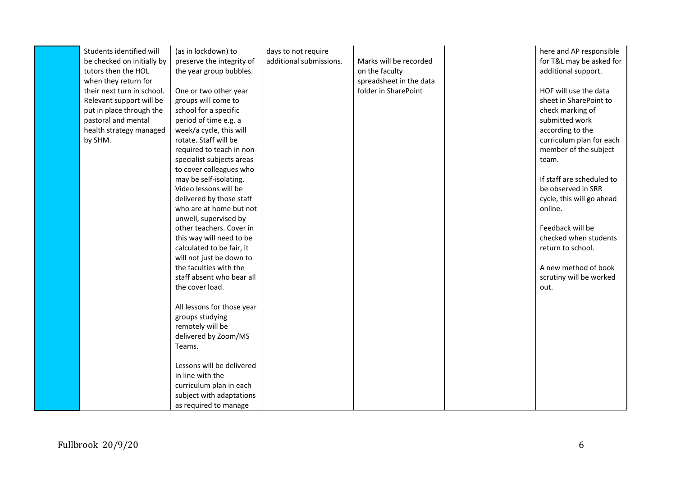| Students identified will<br>be checked on initially by<br>tutors then the HOL<br>when they return for<br>their next turn in school.<br>Relevant support will be<br>put in place through the<br>pastoral and mental<br>health strategy managed<br>by SHM. | (as in lockdown) to<br>preserve the integrity of<br>the year group bubbles.<br>One or two other year<br>groups will come to<br>school for a specific<br>period of time e.g. a<br>week/a cycle, this will<br>rotate. Staff will be<br>required to teach in non-<br>specialist subjects areas<br>to cover colleagues who<br>may be self-isolating.<br>Video lessons will be<br>delivered by those staff<br>who are at home but not<br>unwell, supervised by<br>other teachers. Cover in<br>this way will need to be<br>calculated to be fair, it<br>will not just be down to | days to not require<br>additional submissions. | Marks will be recorded<br>on the faculty<br>spreadsheet in the data<br>folder in SharePoint | here and AP responsible<br>for T&L may be asked for<br>additional support.<br>HOF will use the data<br>sheet in SharePoint to<br>check marking of<br>submitted work<br>according to the<br>curriculum plan for each<br>member of the subject<br>team.<br>If staff are scheduled to<br>be observed in SRR<br>cycle, this will go ahead<br>online.<br>Feedback will be<br>checked when students<br>return to school. |
|----------------------------------------------------------------------------------------------------------------------------------------------------------------------------------------------------------------------------------------------------------|----------------------------------------------------------------------------------------------------------------------------------------------------------------------------------------------------------------------------------------------------------------------------------------------------------------------------------------------------------------------------------------------------------------------------------------------------------------------------------------------------------------------------------------------------------------------------|------------------------------------------------|---------------------------------------------------------------------------------------------|--------------------------------------------------------------------------------------------------------------------------------------------------------------------------------------------------------------------------------------------------------------------------------------------------------------------------------------------------------------------------------------------------------------------|
|                                                                                                                                                                                                                                                          | the faculties with the<br>staff absent who bear all<br>the cover load.                                                                                                                                                                                                                                                                                                                                                                                                                                                                                                     |                                                |                                                                                             | A new method of book<br>scrutiny will be worked<br>out.                                                                                                                                                                                                                                                                                                                                                            |
|                                                                                                                                                                                                                                                          | All lessons for those year<br>groups studying<br>remotely will be<br>delivered by Zoom/MS<br>Teams.                                                                                                                                                                                                                                                                                                                                                                                                                                                                        |                                                |                                                                                             |                                                                                                                                                                                                                                                                                                                                                                                                                    |
|                                                                                                                                                                                                                                                          | Lessons will be delivered<br>in line with the<br>curriculum plan in each<br>subject with adaptations<br>as required to manage                                                                                                                                                                                                                                                                                                                                                                                                                                              |                                                |                                                                                             |                                                                                                                                                                                                                                                                                                                                                                                                                    |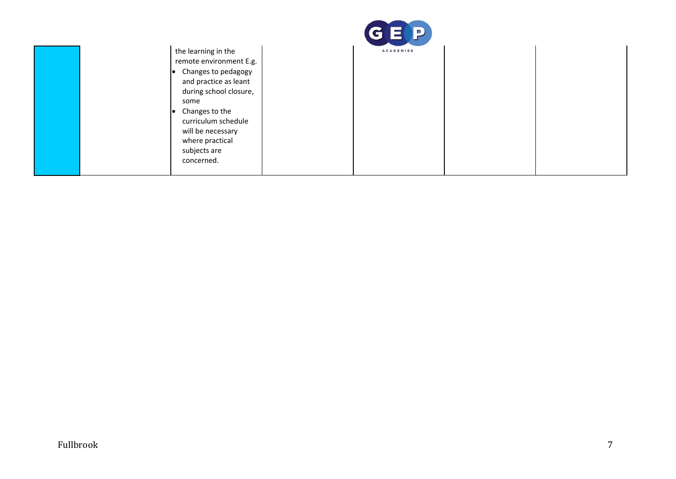|                                                                                                                                                                                                                                   | GEP              |  |
|-----------------------------------------------------------------------------------------------------------------------------------------------------------------------------------------------------------------------------------|------------------|--|
| the learning in the<br>remote environment E.g.<br>Changes to pedagogy<br>and practice as leant<br>during school closure,<br>some<br>Changes to the<br>curriculum schedule<br>will be necessary<br>where practical<br>subjects are | <b>ACADEMIES</b> |  |
| concerned.                                                                                                                                                                                                                        |                  |  |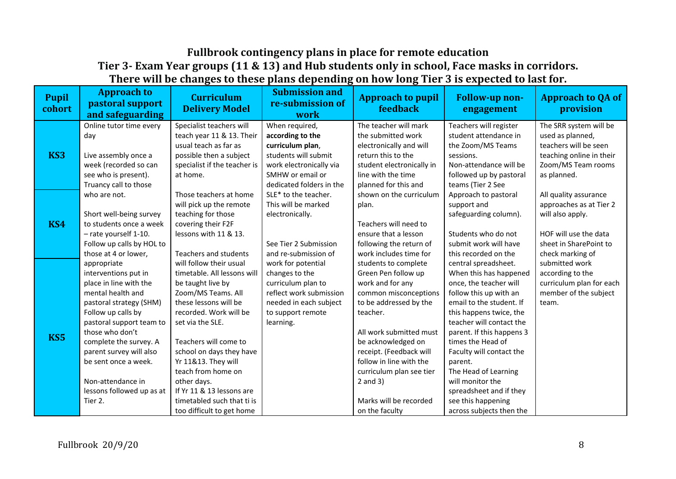## **Fullbrook contingency plans in place for remote education Tier 3- Exam Year groups (11 & 13) and Hub students only in school, Face masks in corridors. There will be changes to these plans depending on how long Tier 3 is expected to last for.**

| <b>Pupil</b><br>cohort | <b>Approach to</b><br>pastoral support<br>and safeguarding | <b>Curriculum</b><br><b>Delivery Model</b>            | <b>Submission and</b><br>re-submission of<br>work | <b>Approach to pupil</b><br><b>feedback</b> | <b>Follow-up non-</b><br>engagement             | <b>Approach to QA of</b><br>provision      |
|------------------------|------------------------------------------------------------|-------------------------------------------------------|---------------------------------------------------|---------------------------------------------|-------------------------------------------------|--------------------------------------------|
|                        | Online tutor time every<br>day                             | Specialist teachers will<br>teach year 11 & 13. Their | When required,<br>according to the                | The teacher will mark<br>the submitted work | Teachers will register<br>student attendance in | The SRR system will be<br>used as planned, |
| KS3                    |                                                            | usual teach as far as                                 | curriculum plan,                                  | electronically and will                     | the Zoom/MS Teams                               | teachers will be seen                      |
|                        | Live assembly once a                                       | possible then a subject                               | students will submit                              | return this to the                          | sessions.                                       | teaching online in their                   |
|                        | week (recorded so can                                      | specialist if the teacher is                          | work electronically via                           | student electronically in                   | Non-attendance will be                          | Zoom/MS Team rooms                         |
|                        | see who is present).<br>Truancy call to those              | at home.                                              | SMHW or email or<br>dedicated folders in the      | line with the time<br>planned for this and  | followed up by pastoral                         | as planned.                                |
|                        | who are not.                                               | Those teachers at home                                | SLE* to the teacher.                              | shown on the curriculum                     | teams (Tier 2 See<br>Approach to pastoral       | All quality assurance                      |
|                        |                                                            | will pick up the remote                               | This will be marked                               | plan.                                       | support and                                     | approaches as at Tier 2                    |
|                        | Short well-being survey                                    | teaching for those                                    | electronically.                                   |                                             | safeguarding column).                           | will also apply.                           |
| KS4                    | to students once a week                                    | covering their F2F                                    |                                                   | Teachers will need to                       |                                                 |                                            |
|                        | - rate yourself 1-10.                                      | lessons with 11 & 13.                                 |                                                   | ensure that a lesson                        | Students who do not                             | HOF will use the data                      |
|                        | Follow up calls by HOL to                                  |                                                       | See Tier 2 Submission                             | following the return of                     | submit work will have                           | sheet in SharePoint to                     |
|                        | those at 4 or lower,                                       | Teachers and students                                 | and re-submission of                              | work includes time for                      | this recorded on the                            | check marking of                           |
|                        | appropriate                                                | will follow their usual                               | work for potential                                | students to complete                        | central spreadsheet.                            | submitted work                             |
|                        | interventions put in                                       | timetable. All lessons will                           | changes to the                                    | Green Pen follow up                         | When this has happened                          | according to the                           |
|                        | place in line with the                                     | be taught live by                                     | curriculum plan to                                | work and for any                            | once, the teacher will                          | curriculum plan for each                   |
|                        | mental health and                                          | Zoom/MS Teams. All                                    | reflect work submission                           | common misconceptions                       | follow this up with an                          | member of the subject                      |
|                        | pastoral strategy (SHM)                                    | these lessons will be                                 | needed in each subject                            | to be addressed by the                      | email to the student. If                        | team.                                      |
|                        | Follow up calls by                                         | recorded. Work will be                                | to support remote                                 | teacher.                                    | this happens twice, the                         |                                            |
|                        | pastoral support team to<br>those who don't                | set via the SLE.                                      | learning.                                         | All work submitted must                     | teacher will contact the                        |                                            |
| KS5                    | complete the survey. A                                     | Teachers will come to                                 |                                                   | be acknowledged on                          | parent. If this happens 3<br>times the Head of  |                                            |
|                        | parent survey will also                                    | school on days they have                              |                                                   | receipt. (Feedback will                     | Faculty will contact the                        |                                            |
|                        | be sent once a week.                                       | Yr 11&13. They will                                   |                                                   | follow in line with the                     | parent.                                         |                                            |
|                        |                                                            | teach from home on                                    |                                                   | curriculum plan see tier                    | The Head of Learning                            |                                            |
|                        | Non-attendance in                                          | other days.                                           |                                                   | $2$ and $3)$                                | will monitor the                                |                                            |
|                        | lessons followed up as at                                  | If Yr 11 & 13 lessons are                             |                                                   |                                             | spreadsheet and if they                         |                                            |
|                        | Tier 2.                                                    | timetabled such that ti is                            |                                                   | Marks will be recorded                      | see this happening                              |                                            |
|                        |                                                            | too difficult to get home                             |                                                   | on the faculty                              | across subjects then the                        |                                            |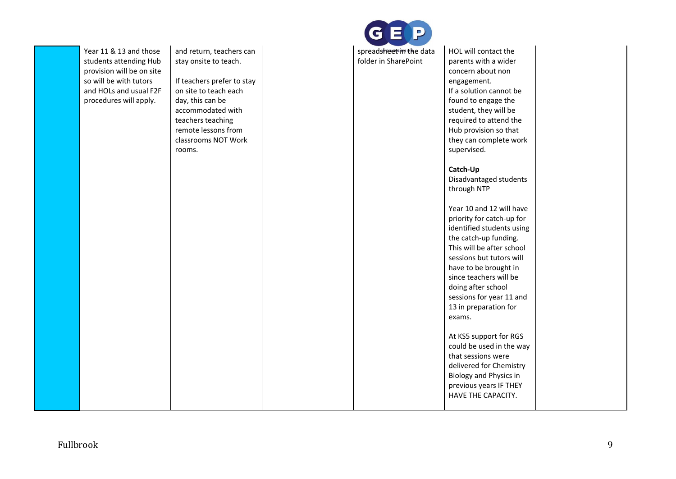| Year 11 & 13 and those    | and return, teachers can   | spreadsheet in the data | HOL will contact the      |
|---------------------------|----------------------------|-------------------------|---------------------------|
| students attending Hub    | stay onsite to teach.      | folder in SharePoint    | parents with a wider      |
| provision will be on site |                            |                         | concern about non         |
| so will be with tutors    | If teachers prefer to stay |                         | engagement.               |
| and HOLs and usual F2F    | on site to teach each      |                         | If a solution cannot be   |
| procedures will apply.    | day, this can be           |                         | found to engage the       |
|                           | accommodated with          |                         | student, they will be     |
|                           | teachers teaching          |                         | required to attend the    |
|                           | remote lessons from        |                         | Hub provision so that     |
|                           | classrooms NOT Work        |                         | they can complete work    |
|                           | rooms.                     |                         | supervised.               |
|                           |                            |                         | Catch-Up                  |
|                           |                            |                         | Disadvantaged students    |
|                           |                            |                         | through NTP               |
|                           |                            |                         | Year 10 and 12 will have  |
|                           |                            |                         | priority for catch-up for |
|                           |                            |                         | identified students using |
|                           |                            |                         | the catch-up funding.     |
|                           |                            |                         | This will be after school |
|                           |                            |                         | sessions but tutors will  |
|                           |                            |                         | have to be brought in     |
|                           |                            |                         | since teachers will be    |
|                           |                            |                         | doing after school        |
|                           |                            |                         | sessions for year 11 and  |
|                           |                            |                         | 13 in preparation for     |
|                           |                            |                         | exams.                    |
|                           |                            |                         | At KS5 support for RGS    |
|                           |                            |                         | could be used in the way  |
|                           |                            |                         | that sessions were        |
|                           |                            |                         | delivered for Chemistry   |
|                           |                            |                         | Biology and Physics in    |
|                           |                            |                         | previous years IF THEY    |